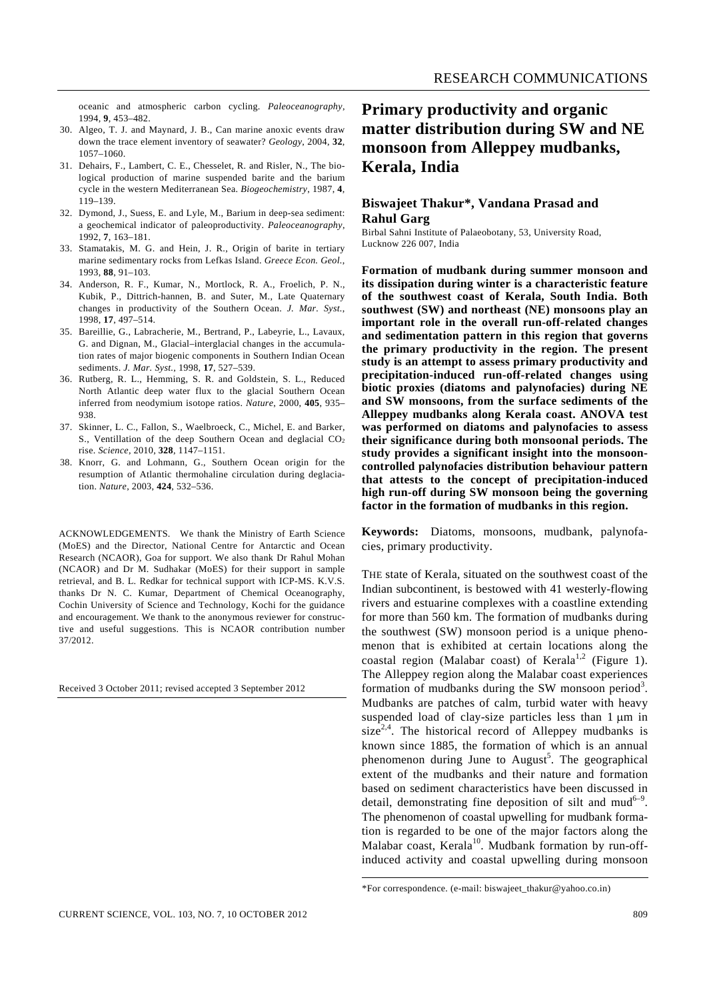oceanic and atmospheric carbon cycling. *Paleoceanography*, 1994, **9**, 453–482.

- 30. Algeo, T. J. and Maynard, J. B., Can marine anoxic events draw down the trace element inventory of seawater? *Geology*, 2004, **32**, 1057–1060.
- 31. Dehairs, F., Lambert, C. E., Chesselet, R. and Risler, N., The biological production of marine suspended barite and the barium cycle in the western Mediterranean Sea. *Biogeochemistry*, 1987, **4**, 119–139.
- 32. Dymond, J., Suess, E. and Lyle, M., Barium in deep-sea sediment: a geochemical indicator of paleoproductivity. *Paleoceanography*, 1992, **7**, 163–181.
- 33. Stamatakis, M. G. and Hein, J. R., Origin of barite in tertiary marine sedimentary rocks from Lefkas Island. *Greece Econ. Geol.*, 1993, **88**, 91–103.
- 34. Anderson, R. F., Kumar, N., Mortlock, R. A., Froelich, P. N., Kubik, P., Dittrich-hannen, B. and Suter, M., Late Quaternary changes in productivity of the Southern Ocean. *J. Mar. Syst.*, 1998, **17**, 497–514.
- 35. Bareillie, G., Labracherie, M., Bertrand, P., Labeyrie, L., Lavaux, G. and Dignan, M., Glacial–interglacial changes in the accumulation rates of major biogenic components in Southern Indian Ocean sediments. *J. Mar. Syst.*, 1998, **17**, 527–539.
- 36. Rutberg, R. L., Hemming, S. R. and Goldstein, S. L., Reduced North Atlantic deep water flux to the glacial Southern Ocean inferred from neodymium isotope ratios. *Nature*, 2000, **405**, 935– 938.
- 37. Skinner, L. C., Fallon, S., Waelbroeck, C., Michel, E. and Barker, S., Ventillation of the deep Southern Ocean and deglacial  $CO<sub>2</sub>$ rise. *Science*, 2010, **328**, 1147–1151.
- 38. Knorr, G. and Lohmann, G., Southern Ocean origin for the resumption of Atlantic thermohaline circulation during deglaciation. *Nature*, 2003, **424**, 532–536.

ACKNOWLEDGEMENTS. We thank the Ministry of Earth Science (MoES) and the Director, National Centre for Antarctic and Ocean Research (NCAOR), Goa for support. We also thank Dr Rahul Mohan (NCAOR) and Dr M. Sudhakar (MoES) for their support in sample retrieval, and B. L. Redkar for technical support with ICP-MS. K.V.S. thanks Dr N. C. Kumar, Department of Chemical Oceanography, Cochin University of Science and Technology, Kochi for the guidance and encouragement. We thank to the anonymous reviewer for constructive and useful suggestions. This is NCAOR contribution number 37/2012.

Received 3 October 2011; revised accepted 3 September 2012

# **Primary productivity and organic matter distribution during SW and NE monsoon from Alleppey mudbanks, Kerala, India**

#### **Biswajeet Thakur\*, Vandana Prasad and Rahul Garg**

Birbal Sahni Institute of Palaeobotany, 53, University Road, Lucknow 226 007, India

**Formation of mudbank during summer monsoon and its dissipation during winter is a characteristic feature of the southwest coast of Kerala, South India. Both southwest (SW) and northeast (NE) monsoons play an important role in the overall run-off-related changes and sedimentation pattern in this region that governs the primary productivity in the region. The present study is an attempt to assess primary productivity and precipitation-induced run-off-related changes using biotic proxies (diatoms and palynofacies) during NE and SW monsoons, from the surface sediments of the Alleppey mudbanks along Kerala coast. ANOVA test was performed on diatoms and palynofacies to assess their significance during both monsoonal periods. The study provides a significant insight into the monsooncontrolled palynofacies distribution behaviour pattern that attests to the concept of precipitation-induced high run-off during SW monsoon being the governing factor in the formation of mudbanks in this region.** 

**Keywords:** Diatoms, monsoons, mudbank, palynofacies, primary productivity.

THE state of Kerala, situated on the southwest coast of the Indian subcontinent, is bestowed with 41 westerly-flowing rivers and estuarine complexes with a coastline extending for more than 560 km. The formation of mudbanks during the southwest (SW) monsoon period is a unique phenomenon that is exhibited at certain locations along the coastal region (Malabar coast) of Kerala<sup>1,2</sup> (Figure 1). The Alleppey region along the Malabar coast experiences formation of mudbanks during the SW monsoon period<sup>3</sup>. Mudbanks are patches of calm, turbid water with heavy suspended load of clay-size particles less than 1 μm in size<sup>2,4</sup>. The historical record of Alleppey mudbanks is known since 1885, the formation of which is an annual phenomenon during June to August<sup>5</sup>. The geographical extent of the mudbanks and their nature and formation based on sediment characteristics have been discussed in detail, demonstrating fine deposition of silt and mud<sup>6-9</sup>. The phenomenon of coastal upwelling for mudbank formation is regarded to be one of the major factors along the Malabar coast, Kerala<sup>10</sup>. Mudbank formation by run-offinduced activity and coastal upwelling during monsoon

<sup>\*</sup>For correspondence. (e-mail: biswajeet\_thakur@yahoo.co.in)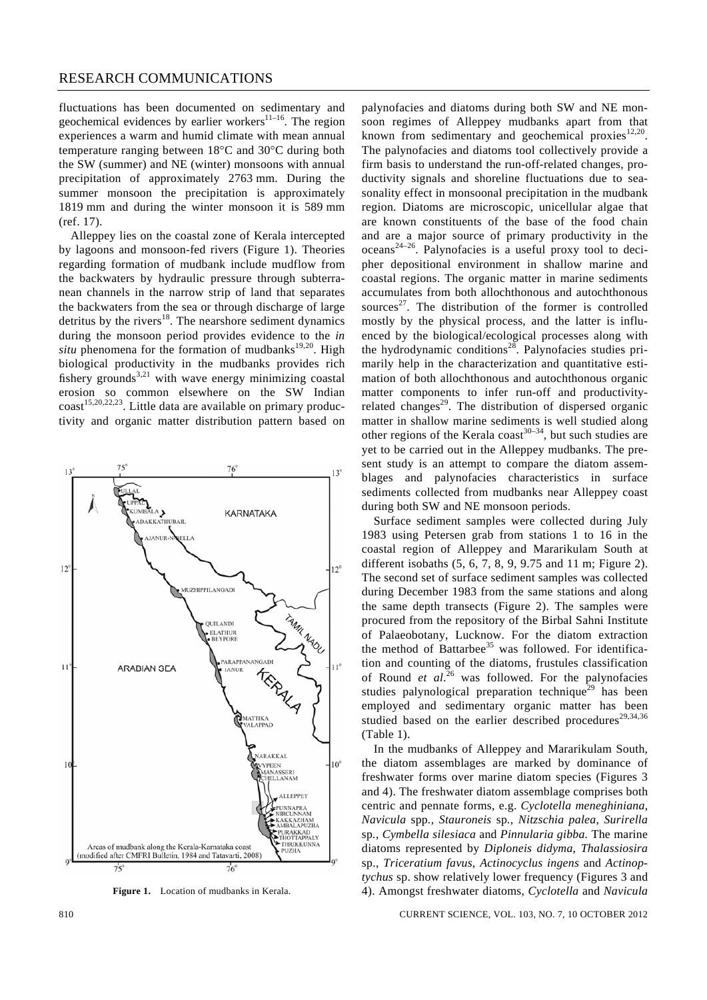fluctuations has been documented on sedimentary and geochemical evidences by earlier workers $11-16$ . The region experiences a warm and humid climate with mean annual temperature ranging between 18°C and 30°C during both the SW (summer) and NE (winter) monsoons with annual precipitation of approximately 2763 mm. During the summer monsoon the precipitation is approximately 1819 mm and during the winter monsoon it is 589 mm (ref. 17).

 Alleppey lies on the coastal zone of Kerala intercepted by lagoons and monsoon-fed rivers (Figure 1). Theories regarding formation of mudbank include mudflow from the backwaters by hydraulic pressure through subterranean channels in the narrow strip of land that separates the backwaters from the sea or through discharge of large detritus by the rivers $^{18}$ . The nearshore sediment dynamics during the monsoon period provides evidence to the *in*   $situ$  phenomena for the formation of mudbanks<sup>19,20</sup>. High biological productivity in the mudbanks provides rich fishery grounds<sup>3,21</sup> with wave energy minimizing coastal erosion so common elsewhere on the SW Indian  $\text{coast}^{15,20,22,23}$ . Little data are available on primary productivity and organic matter distribution pattern based on



Figure 1. Location of mudbanks in Kerala.

palynofacies and diatoms during both SW and NE monsoon regimes of Alleppey mudbanks apart from that known from sedimentary and geochemical proxies $12,20$ . The palynofacies and diatoms tool collectively provide a firm basis to understand the run-off-related changes, productivity signals and shoreline fluctuations due to seasonality effect in monsoonal precipitation in the mudbank region. Diatoms are microscopic, unicellular algae that are known constituents of the base of the food chain and are a major source of primary productivity in the  $oceans^{24-26}$ . Palynofacies is a useful proxy tool to decipher depositional environment in shallow marine and coastal regions. The organic matter in marine sediments accumulates from both allochthonous and autochthonous sources<sup>27</sup>. The distribution of the former is controlled mostly by the physical process, and the latter is influenced by the biological/ecological processes along with the hydrodynamic conditions<sup>28</sup>. Palynofacies studies primarily help in the characterization and quantitative estimation of both allochthonous and autochthonous organic matter components to infer run-off and productivityrelated changes<sup>29</sup>. The distribution of dispersed organic matter in shallow marine sediments is well studied along other regions of the Kerala coast<sup>30–34</sup>, but such studies are yet to be carried out in the Alleppey mudbanks. The present study is an attempt to compare the diatom assemblages and palynofacies characteristics in surface sediments collected from mudbanks near Alleppey coast during both SW and NE monsoon periods.

 Surface sediment samples were collected during July 1983 using Petersen grab from stations 1 to 16 in the coastal region of Alleppey and Mararikulam South at different isobaths (5, 6, 7, 8, 9, 9.75 and 11 m; Figure 2). The second set of surface sediment samples was collected during December 1983 from the same stations and along the same depth transects (Figure 2). The samples were procured from the repository of the Birbal Sahni Institute of Palaeobotany, Lucknow. For the diatom extraction the method of Battarbee<sup>35</sup> was followed. For identification and counting of the diatoms, frustules classification of Round *et al*. 26 was followed. For the palynofacies studies palynological preparation technique<sup>29</sup> has been employed and sedimentary organic matter has been studied based on the earlier described procedures<sup>29,34,36</sup> (Table 1).

 In the mudbanks of Alleppey and Mararikulam South, the diatom assemblages are marked by dominance of freshwater forms over marine diatom species (Figures 3 and 4). The freshwater diatom assemblage comprises both centric and pennate forms, e.g. *Cyclotella meneghiniana*, *Navicula* spp*.*, *Stauroneis* sp*.*, *Nitzschia palea*, *Surirella*  sp*.*, *Cymbella silesiaca* and *Pinnularia gibba.* The marine diatoms represented by *Diploneis didyma*, *Thalassiosira*  sp., *Triceratium favus*, *Actinocyclus ingens* and *Actinoptychus* sp. show relatively lower frequency (Figures 3 and 4). Amongst freshwater diatoms, *Cyclotella* and *Navicula* 

810 CURRENT SCIENCE, VOL. 103, NO. 7, 10 OCTOBER 2012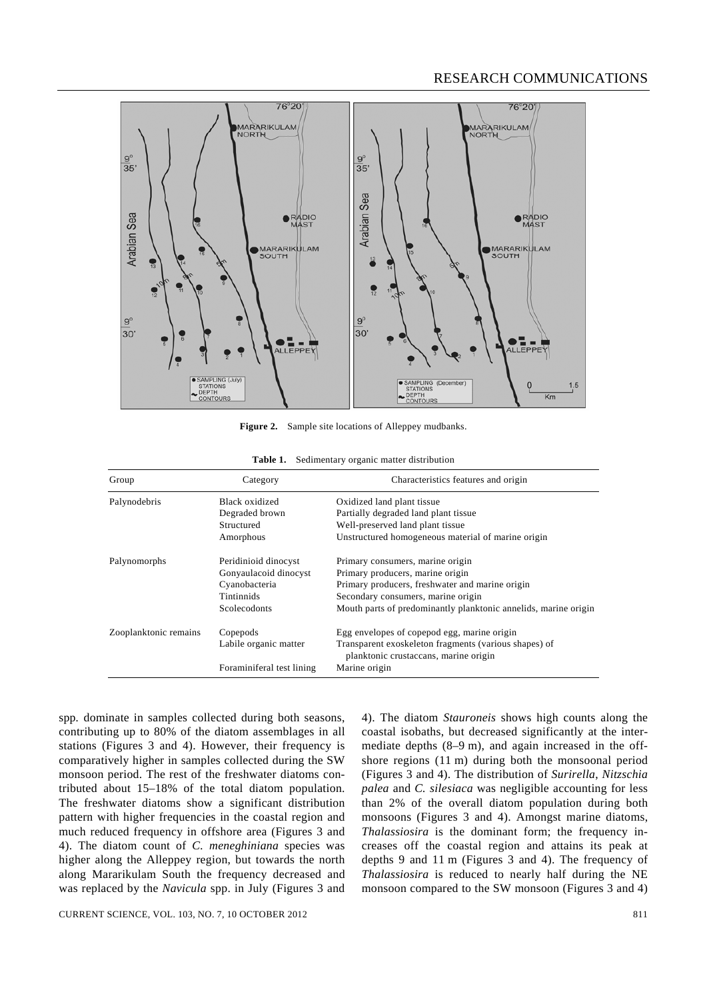

Figure 2. Sample site locations of Alleppey mudbanks.

| Group                 | Category                  | Characteristics features and origin                                                            |
|-----------------------|---------------------------|------------------------------------------------------------------------------------------------|
| Palynodebris          | Black oxidized            | Oxidized land plant tissue                                                                     |
|                       | Degraded brown            | Partially degraded land plant tissue                                                           |
|                       | Structured                | Well-preserved land plant tissue                                                               |
|                       | Amorphous                 | Unstructured homogeneous material of marine origin                                             |
| Palynomorphs          | Peridinioid dinocyst      | Primary consumers, marine origin                                                               |
|                       | Gonyaulacoid dinocyst     | Primary producers, marine origin                                                               |
|                       | Cyanobacteria             | Primary producers, freshwater and marine origin                                                |
|                       | <b>Tintinnids</b>         | Secondary consumers, marine origin                                                             |
|                       | Scolecodonts              | Mouth parts of predominantly planktonic annelids, marine origin                                |
| Zooplanktonic remains | Copepods                  | Egg envelopes of copepod egg, marine origin                                                    |
|                       | Labile organic matter     | Transparent exoskeleton fragments (various shapes) of<br>planktonic crustaceans, marine origin |
|                       | Foraminiferal test lining | Marine origin                                                                                  |

spp*.* dominate in samples collected during both seasons, contributing up to 80% of the diatom assemblages in all stations (Figures 3 and 4). However, their frequency is comparatively higher in samples collected during the SW monsoon period. The rest of the freshwater diatoms contributed about 15–18% of the total diatom population. The freshwater diatoms show a significant distribution pattern with higher frequencies in the coastal region and much reduced frequency in offshore area (Figures 3 and 4). The diatom count of *C. meneghiniana* species was higher along the Alleppey region, but towards the north along Mararikulam South the frequency decreased and was replaced by the *Navicula* spp. in July (Figures 3 and 4). The diatom *Stauroneis* shows high counts along the coastal isobaths, but decreased significantly at the intermediate depths (8–9 m), and again increased in the offshore regions (11 m) during both the monsoonal period (Figures 3 and 4). The distribution of *Surirella*, *Nitzschia palea* and *C. silesiaca* was negligible accounting for less than 2% of the overall diatom population during both monsoons (Figures 3 and 4). Amongst marine diatoms, *Thalassiosira* is the dominant form; the frequency increases off the coastal region and attains its peak at depths 9 and 11 m (Figures 3 and 4). The frequency of *Thalassiosira* is reduced to nearly half during the NE monsoon compared to the SW monsoon (Figures 3 and 4)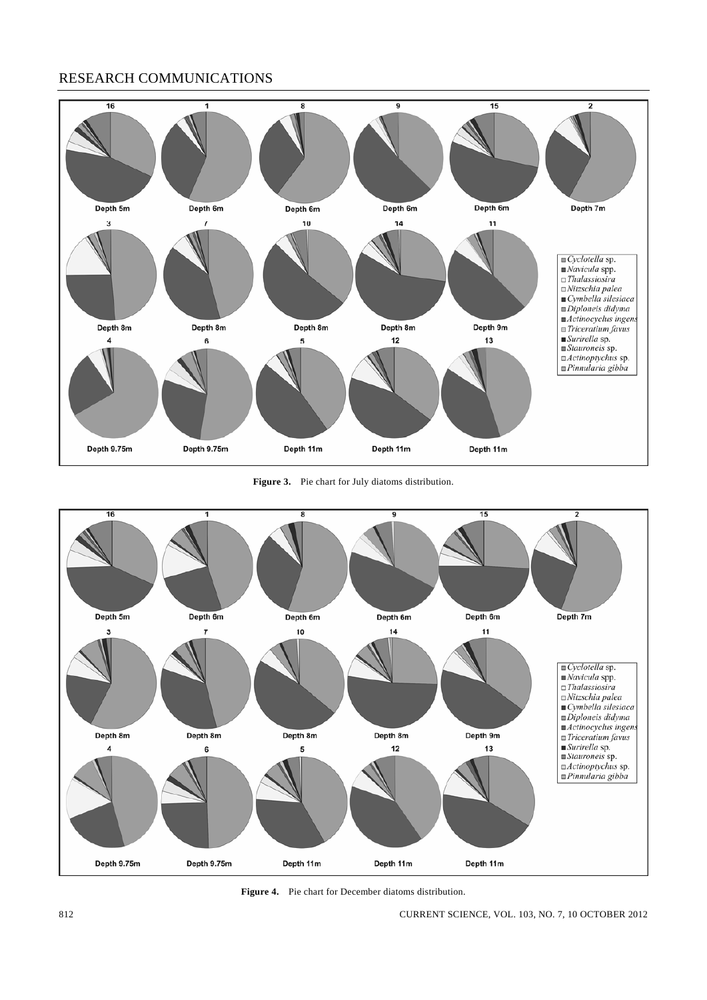

**Figure 3.** Pie chart for July diatoms distribution.



**Figure 4.** Pie chart for December diatoms distribution.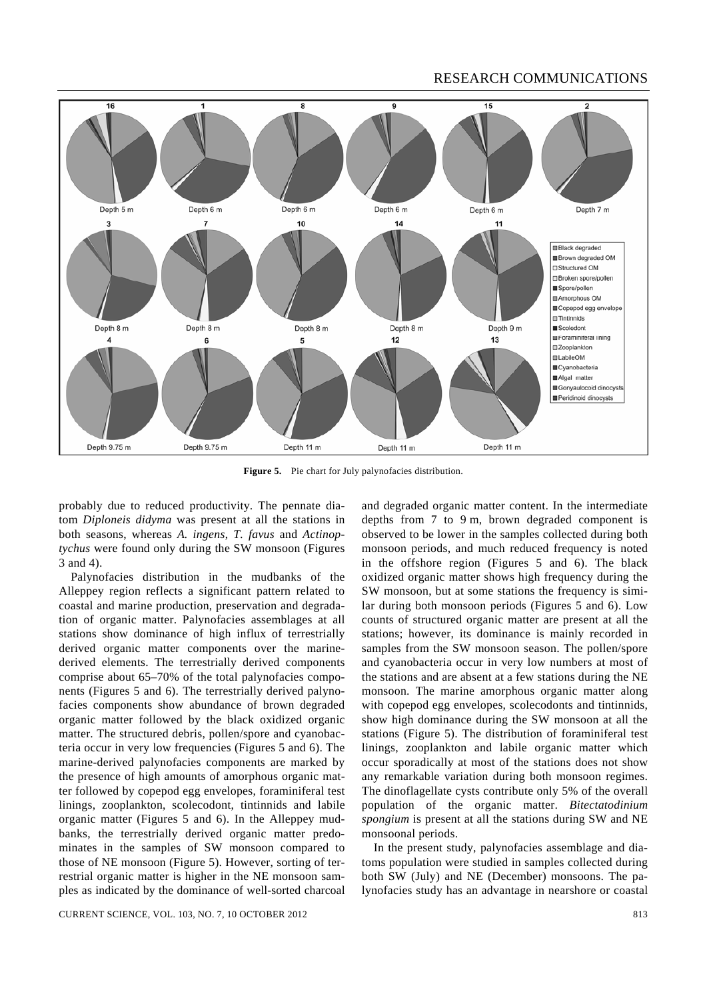

**Figure 5.** Pie chart for July palynofacies distribution.

probably due to reduced productivity. The pennate diatom *Diploneis didyma* was present at all the stations in both seasons, whereas *A. ingens*, *T. favus* and *Actinoptychus* were found only during the SW monsoon (Figures 3 and 4).

 Palynofacies distribution in the mudbanks of the Alleppey region reflects a significant pattern related to coastal and marine production, preservation and degradation of organic matter. Palynofacies assemblages at all stations show dominance of high influx of terrestrially derived organic matter components over the marinederived elements. The terrestrially derived components comprise about 65–70% of the total palynofacies components (Figures 5 and 6). The terrestrially derived palynofacies components show abundance of brown degraded organic matter followed by the black oxidized organic matter. The structured debris, pollen/spore and cyanobacteria occur in very low frequencies (Figures 5 and 6). The marine-derived palynofacies components are marked by the presence of high amounts of amorphous organic matter followed by copepod egg envelopes, foraminiferal test linings, zooplankton, scolecodont, tintinnids and labile organic matter (Figures 5 and 6). In the Alleppey mudbanks, the terrestrially derived organic matter predominates in the samples of SW monsoon compared to those of NE monsoon (Figure 5). However, sorting of terrestrial organic matter is higher in the NE monsoon samples as indicated by the dominance of well-sorted charcoal

CURRENT SCIENCE, VOL. 103, NO. 7, 10 OCTOBER 2012 813

and degraded organic matter content. In the intermediate depths from 7 to 9 m, brown degraded component is observed to be lower in the samples collected during both monsoon periods, and much reduced frequency is noted in the offshore region (Figures 5 and 6). The black oxidized organic matter shows high frequency during the SW monsoon, but at some stations the frequency is similar during both monsoon periods (Figures 5 and 6). Low counts of structured organic matter are present at all the stations; however, its dominance is mainly recorded in samples from the SW monsoon season. The pollen/spore and cyanobacteria occur in very low numbers at most of the stations and are absent at a few stations during the NE monsoon. The marine amorphous organic matter along with copepod egg envelopes, scolecodonts and tintinnids, show high dominance during the SW monsoon at all the stations (Figure 5). The distribution of foraminiferal test linings, zooplankton and labile organic matter which occur sporadically at most of the stations does not show any remarkable variation during both monsoon regimes. The dinoflagellate cysts contribute only 5% of the overall population of the organic matter. *Bitectatodinium spongium* is present at all the stations during SW and NE monsoonal periods.

 In the present study, palynofacies assemblage and diatoms population were studied in samples collected during both SW (July) and NE (December) monsoons. The palynofacies study has an advantage in nearshore or coastal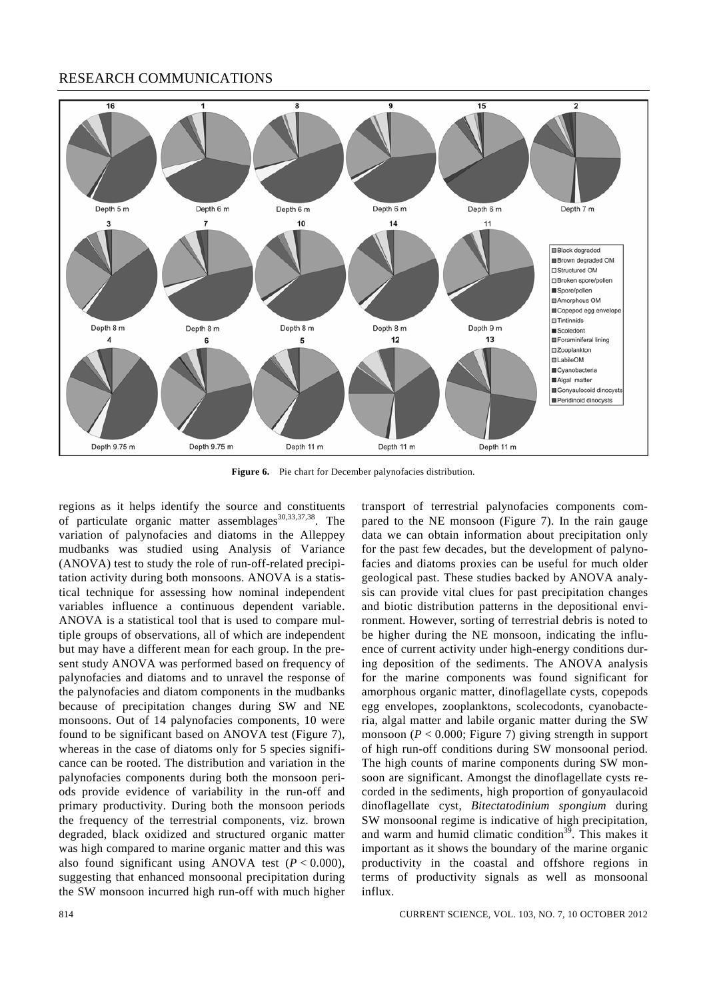

**Figure 6.** Pie chart for December palynofacies distribution.

regions as it helps identify the source and constituents of particulate organic matter assemblages<sup>30,33,37,38</sup>. The variation of palynofacies and diatoms in the Alleppey mudbanks was studied using Analysis of Variance (ANOVA) test to study the role of run-off-related precipitation activity during both monsoons. ANOVA is a statistical technique for assessing how nominal independent variables influence a continuous dependent variable. ANOVA is a statistical tool that is used to compare multiple groups of observations, all of which are independent but may have a different mean for each group. In the present study ANOVA was performed based on frequency of palynofacies and diatoms and to unravel the response of the palynofacies and diatom components in the mudbanks because of precipitation changes during SW and NE monsoons. Out of 14 palynofacies components, 10 were found to be significant based on ANOVA test (Figure 7), whereas in the case of diatoms only for 5 species significance can be rooted. The distribution and variation in the palynofacies components during both the monsoon periods provide evidence of variability in the run-off and primary productivity. During both the monsoon periods the frequency of the terrestrial components, viz. brown degraded, black oxidized and structured organic matter was high compared to marine organic matter and this was also found significant using ANOVA test  $(P < 0.000)$ , suggesting that enhanced monsoonal precipitation during the SW monsoon incurred high run-off with much higher transport of terrestrial palynofacies components compared to the NE monsoon (Figure 7). In the rain gauge data we can obtain information about precipitation only for the past few decades, but the development of palynofacies and diatoms proxies can be useful for much older geological past. These studies backed by ANOVA analysis can provide vital clues for past precipitation changes and biotic distribution patterns in the depositional environment. However, sorting of terrestrial debris is noted to be higher during the NE monsoon, indicating the influence of current activity under high-energy conditions during deposition of the sediments. The ANOVA analysis for the marine components was found significant for amorphous organic matter, dinoflagellate cysts, copepods egg envelopes, zooplanktons, scolecodonts, cyanobacteria, algal matter and labile organic matter during the SW monsoon ( $P < 0.000$ ; Figure 7) giving strength in support of high run-off conditions during SW monsoonal period. The high counts of marine components during SW monsoon are significant. Amongst the dinoflagellate cysts recorded in the sediments, high proportion of gonyaulacoid dinoflagellate cyst, *Bitectatodinium spongium* during SW monsoonal regime is indicative of high precipitation, and warm and humid climatic condition<sup>39</sup>. This makes it important as it shows the boundary of the marine organic productivity in the coastal and offshore regions in terms of productivity signals as well as monsoonal influx.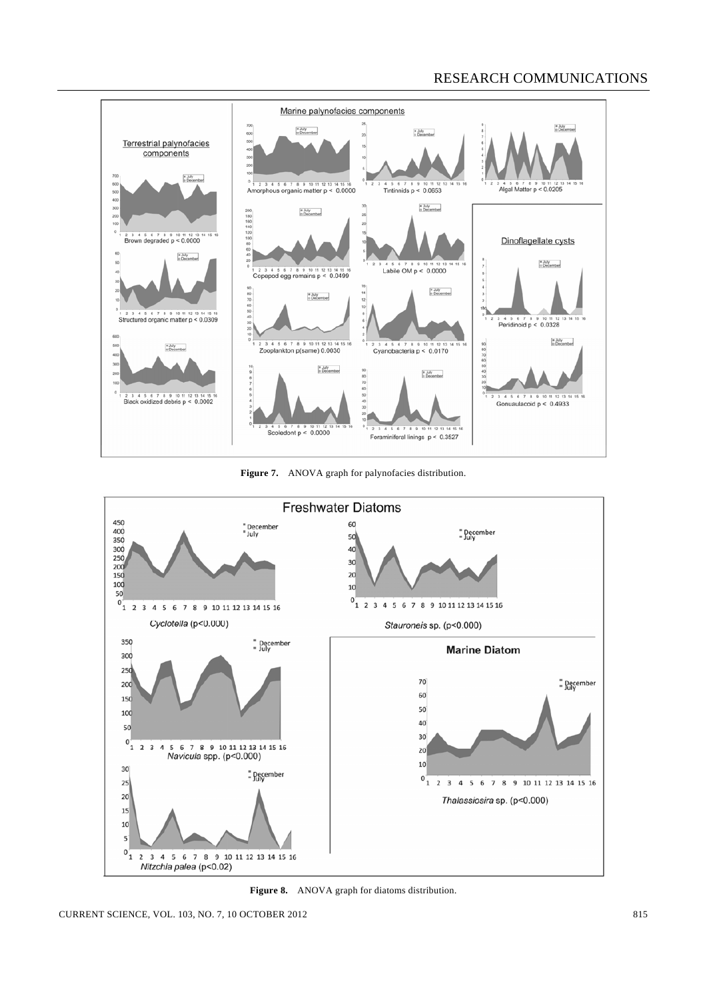

**Figure 7.** ANOVA graph for palynofacies distribution.



**Figure 8.** ANOVA graph for diatoms distribution.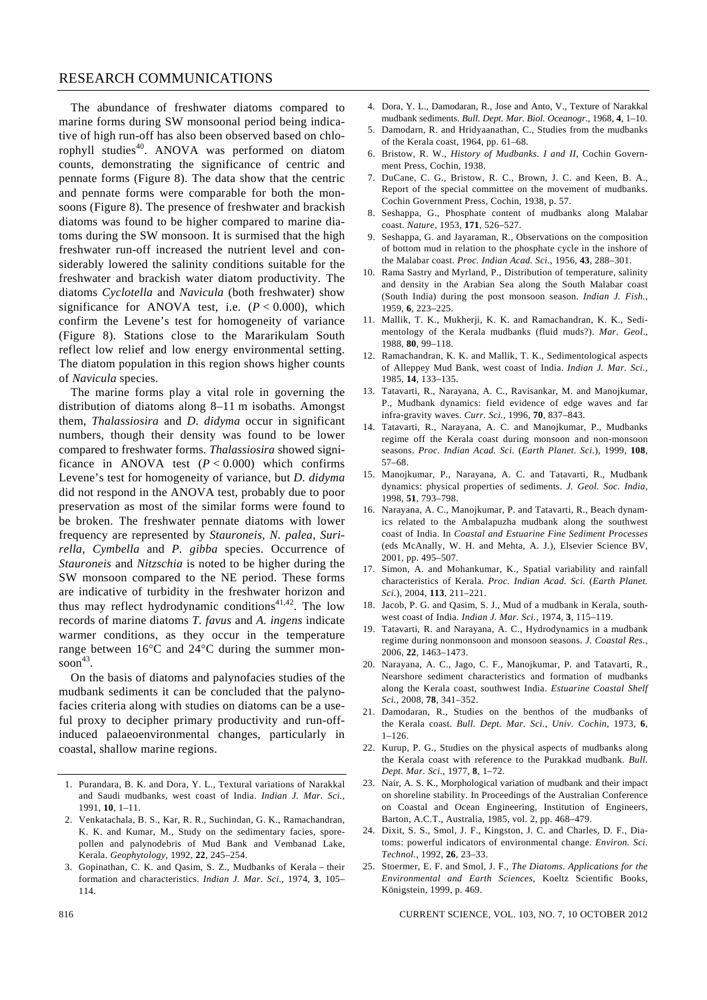The abundance of freshwater diatoms compared to marine forms during SW monsoonal period being indicative of high run-off has also been observed based on chlorophyll studies<sup>40</sup>. ANOVA was performed on diatom counts, demonstrating the significance of centric and pennate forms (Figure 8). The data show that the centric and pennate forms were comparable for both the monsoons (Figure 8). The presence of freshwater and brackish diatoms was found to be higher compared to marine diatoms during the SW monsoon. It is surmised that the high freshwater run-off increased the nutrient level and considerably lowered the salinity conditions suitable for the freshwater and brackish water diatom productivity. The diatoms *Cyclotella* and *Navicula* (both freshwater) show significance for ANOVA test, i.e.  $(P < 0.000)$ , which confirm the Levene's test for homogeneity of variance (Figure 8). Stations close to the Mararikulam South reflect low relief and low energy environmental setting. The diatom population in this region shows higher counts of *Navicula* species.

 The marine forms play a vital role in governing the distribution of diatoms along 8–11 m isobaths. Amongst them, *Thalassiosira* and *D. didyma* occur in significant numbers, though their density was found to be lower compared to freshwater forms. *Thalassiosira* showed significance in ANOVA test  $(P < 0.000)$  which confirms Levene's test for homogeneity of variance, but *D. didyma* did not respond in the ANOVA test, probably due to poor preservation as most of the similar forms were found to be broken. The freshwater pennate diatoms with lower frequency are represented by *Stauroneis*, *N. palea*, *Surirella*, *Cymbella* and *P. gibba* species. Occurrence of *Stauroneis* and *Nitzschia* is noted to be higher during the SW monsoon compared to the NE period. These forms are indicative of turbidity in the freshwater horizon and thus may reflect hydrodynamic conditions $41,42$ . The low records of marine diatoms *T. favus* and *A. ingens* indicate warmer conditions, as they occur in the temperature range between 16°C and 24°C during the summer mon $soon<sup>43</sup>$ .

 On the basis of diatoms and palynofacies studies of the mudbank sediments it can be concluded that the palynofacies criteria along with studies on diatoms can be a useful proxy to decipher primary productivity and run-offinduced palaeoenvironmental changes, particularly in coastal, shallow marine regions.

- 1. Purandara, B. K. and Dora, Y. L., Textural variations of Narakkal and Saudi mudbanks, west coast of India. *Indian J. Mar. Sci.*, 1991, **10**, 1–11.
- 2. Venkatachala, B. S., Kar, R. R., Suchindan, G. K., Ramachandran, K. K. and Kumar, M., Study on the sedimentary facies, sporepollen and palynodebris of Mud Bank and Vembanad Lake, Kerala. *Geophytology*, 1992, **22**, 245–254.
- 3. Gopinathan, C. K. and Qasim, S. Z., Mudbanks of Kerala their formation and characteristics. *Indian J. Mar. Sci.*, 1974, **3**, 105– 114.
- 4. Dora, Y. L., Damodaran, R., Jose and Anto, V., Texture of Narakkal mudbank sediments. *Bull. Dept. Mar. Biol. Oceanogr*., 1968, **4**, 1–10.
- 5. Damodarn, R. and Hridyaanathan, C., Studies from the mudbanks of the Kerala coast, 1964, pp. 61–68.
- 6. Bristow, R. W., *History of Mudbanks. I and II*, Cochin Government Press, Cochin, 1938.
- 7. DuCane, C. G., Bristow, R. C., Brown, J. C. and Keen, B. A., Report of the special committee on the movement of mudbanks. Cochin Government Press, Cochin, 1938, p. 57.
- 8. Seshappa, G., Phosphate content of mudbanks along Malabar coast. *Nature*, 1953, **171**, 526–527.
- 9. Seshappa, G. and Jayaraman, R., Observations on the composition of bottom mud in relation to the phosphate cycle in the inshore of the Malabar coast. *Proc. Indian Acad. Sci.*, 1956, **43**, 288–301.
- 10. Rama Sastry and Myrland, P., Distribution of temperature, salinity and density in the Arabian Sea along the South Malabar coast (South India) during the post monsoon season. *Indian J. Fish.*, 1959, **6**, 223–225.
- 11. Mallik, T. K., Mukherji, K. K. and Ramachandran, K. K., Sedimentology of the Kerala mudbanks (fluid muds?). *Mar. Geol*., 1988, **80**, 99–118.
- 12. Ramachandran, K. K. and Mallik, T. K., Sedimentological aspects of Alleppey Mud Bank, west coast of India. *Indian J. Mar. Sci.*, 1985, **14**, 133–135.
- 13. Tatavarti, R., Narayana, A. C., Ravisankar, M. and Manojkumar, P., Mudbank dynamics: field evidence of edge waves and far infra-gravity waves. *Curr. Sci.*, 1996, **70**, 837–843.
- 14. Tatavarti, R., Narayana, A. C. and Manojkumar, P., Mudbanks regime off the Kerala coast during monsoon and non-monsoon seasons. *Proc. Indian Acad. Sci.* (*Earth Planet. Sci.*), 1999, **108**, 57–68.
- 15. Manojkumar, P., Narayana, A. C. and Tatavarti, R., Mudbank dynamics: physical properties of sediments. *J. Geol. Soc. India*, 1998, **51**, 793–798.
- 16. Narayana, A. C., Manojkumar, P. and Tatavarti, R., Beach dynamics related to the Ambalapuzha mudbank along the southwest coast of India. In *Coastal and Estuarine Fine Sediment Processes* (eds McAnally, W. H. and Mehta, A. J.), Elsevier Science BV, 2001, pp. 495–507.
- 17. Simon, A. and Mohankumar, K., Spatial variability and rainfall characteristics of Kerala. *Proc. Indian Acad. Sci.* (*Earth Planet. Sci.*), 2004, **113**, 211–221.
- 18. Jacob, P. G. and Qasim, S. J., Mud of a mudbank in Kerala, southwest coast of India. *Indian J. Mar. Sci.*, 1974, **3**, 115–119.
- 19. Tatavarti, R. and Narayana, A. C., Hydrodynamics in a mudbank regime during nonmonsoon and monsoon seasons. *J. Coastal Res.*, 2006, **22**, 1463–1473.
- 20. Narayana, A. C., Jago, C. F., Manojkumar, P. and Tatavarti, R., Nearshore sediment characteristics and formation of mudbanks along the Kerala coast, southwest India. *Estuarine Coastal Shelf Sci.*, 2008, **78**, 341–352.
- 21. Damodaran, R., Studies on the benthos of the mudbanks of the Kerala coast. *Bull. Dept. Mar. Sci.*, *Univ. Cochin*, 1973, **6**, 1–126.
- 22. Kurup, P. G., Studies on the physical aspects of mudbanks along the Kerala coast with reference to the Purakkad mudbank. *Bull. Dept. Mar. Sci.*, 1977, **8**, 1–72.
- 23. Nair, A. S. K., Morphological variation of mudbank and their impact on shoreline stability. In Proceedings of the Australian Conference on Coastal and Ocean Engineering, Institution of Engineers, Barton, A.C.T., Australia, 1985, vol. 2, pp. 468–479.
- 24. Dixit, S. S., Smol, J. F., Kingston, J. C. and Charles, D. F., Diatoms: powerful indicators of environmental change. *Environ. Sci. Technol.*, 1992, **26**, 23–33.
- 25. Stoermer, E. F. and Smol, J. F., *The Diatoms. Applications for the Environmental and Earth Sciences*, Koeltz Scientific Books, Königstein, 1999, p. 469.

816 CURRENT SCIENCE, VOL. 103, NO. 7, 10 OCTOBER 2012